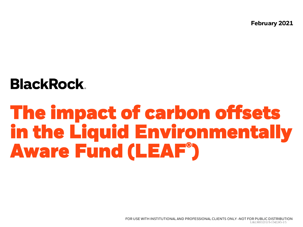**February 2021**

## **BlackRock**

# **The impact of carbon offsets in the Liquid Environmentally Aware Fund (LEAF® )**

FOR USE WITH INSTITUTIONAL AND PROFESSIONAL CLIENTS ONLY -NOT FOR PUBLIC DISTRIBUTION L&LM0321U/S-1542245-1/5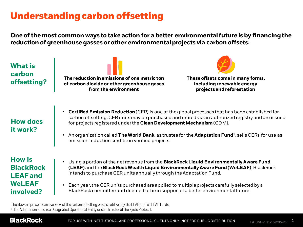## **Understanding carbon offsetting**

**One of the most common ways to take action for a better environmental future is by financing the reduction of greenhouse gasses or other environmental projects via carbon offsets.** 

| <b>What is</b>              | The reduction in emissions of one metric ton                                                                                                                                                                                                                                                                                                                                                                                                                             | These offsets come in many forms, |
|-----------------------------|--------------------------------------------------------------------------------------------------------------------------------------------------------------------------------------------------------------------------------------------------------------------------------------------------------------------------------------------------------------------------------------------------------------------------------------------------------------------------|-----------------------------------|
| carbon                      | of carbon dioxide or other greenhouse gases                                                                                                                                                                                                                                                                                                                                                                                                                              | including renewable energy        |
| offsetting?                 | from the environment                                                                                                                                                                                                                                                                                                                                                                                                                                                     | projects and reforestation        |
| <b>How does</b><br>it work? | <b>Certified Emission Reduction</b> (CER) is one of the global processes that has been established for<br>$\bullet$<br>carbon offsetting. CER units may be purchased and retired via an authorized registry and are issued<br>for projects registered under the Clean Development Mechanism (CDM).<br>An organization called The World Bank, as trustee for the Adaptation Fund <sup>1</sup> , sells CERs for use as<br>emission reduction credits on verified projects. |                                   |
| <b>How is</b>               | Using a portion of the net revenue from the <b>BlackRock Liquid Environmentally Aware Fund</b>                                                                                                                                                                                                                                                                                                                                                                           |                                   |
| <b>BlackRock</b>            | (LEAF) and the BlackRock Wealth Liquid Environmentally Aware Fund (WeLEAF), BlackRock                                                                                                                                                                                                                                                                                                                                                                                    |                                   |
| <b>LEAF</b> and             | intends to purchase CER units annually through the Adaptation Fund.                                                                                                                                                                                                                                                                                                                                                                                                      |                                   |
| <b>WeLEAF</b>               | Each year, the CER units purchased are applied to multiple projects carefully selected by a                                                                                                                                                                                                                                                                                                                                                                              |                                   |
| involved?                   | BlackRock committee and deemed to be in support of a better environmental future.                                                                                                                                                                                                                                                                                                                                                                                        |                                   |

The above represents an overview of the carbon offsetting process utilized by the LEAF and WeLEAF funds. <sup>1</sup> The Adaptation Fund is a Designated Operational Entity under the rules of the Kyoto Protocol.

#### **BlackRock.**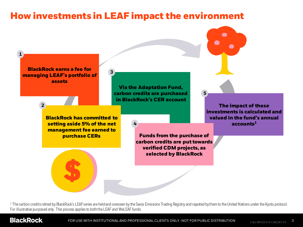## **How investments in LEAF impact the environment**



<sup>1</sup> The carbon credits retired by BlackRock's LEAF series are held and overseen by the Swiss Emissions Trading Registry and reported by them to the United Nations under the Kyoto protocol. For illustrative purposed only. This process applies to both the LEAF and WeLEAF funds.

#### **BlackRock**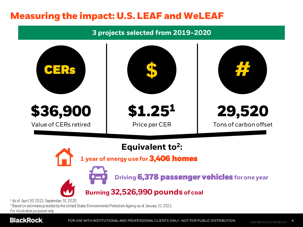## **Measuring the impact: U.S. LEAF and WeLEAF**

**3 projects selected from 2019-2020** 



<sup>1</sup> As of April 30 2021-September 31 2020.

<sup>2</sup> Based on estimates provided by the United States Environmental Protection Agency as of January 31 2021.

For illustrative purposed only.

#### **BlackRock.**